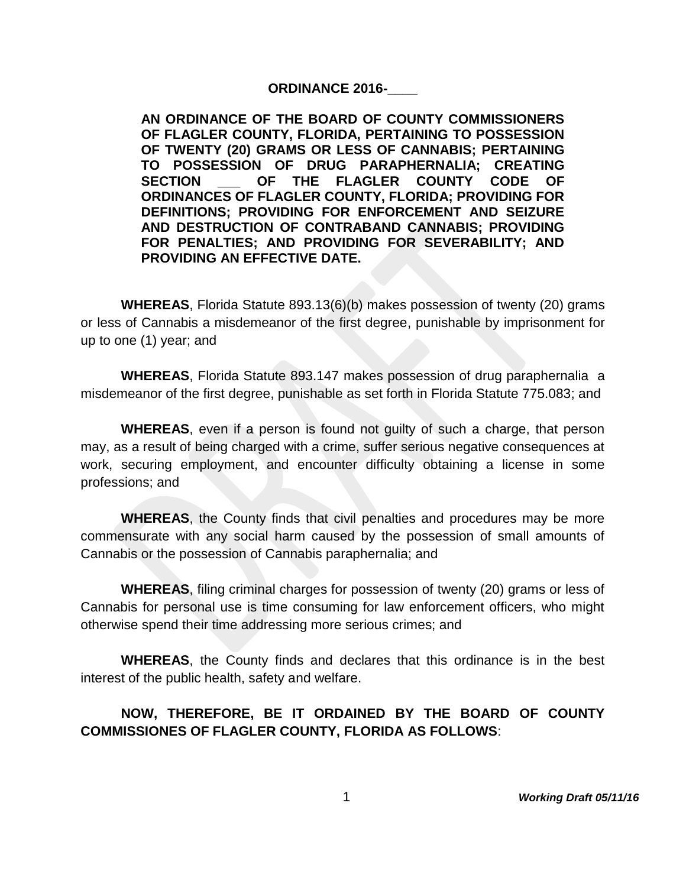#### **ORDINANCE 2016-\_\_\_\_**

**AN ORDINANCE OF THE BOARD OF COUNTY COMMISSIONERS OF FLAGLER COUNTY, FLORIDA, PERTAINING TO POSSESSION OF TWENTY (20) GRAMS OR LESS OF CANNABIS; PERTAINING TO POSSESSION OF DRUG PARAPHERNALIA; CREATING SECTION \_\_\_ OF THE FLAGLER COUNTY CODE OF ORDINANCES OF FLAGLER COUNTY, FLORIDA; PROVIDING FOR DEFINITIONS; PROVIDING FOR ENFORCEMENT AND SEIZURE AND DESTRUCTION OF CONTRABAND CANNABIS; PROVIDING FOR PENALTIES; AND PROVIDING FOR SEVERABILITY; AND PROVIDING AN EFFECTIVE DATE.** 

**WHEREAS**, Florida Statute 893.13(6)(b) makes possession of twenty (20) grams or less of Cannabis a misdemeanor of the first degree, punishable by imprisonment for up to one (1) year; and

**WHEREAS**, Florida Statute 893.147 makes possession of drug paraphernalia a misdemeanor of the first degree, punishable as set forth in Florida Statute 775.083; and

**WHEREAS**, even if a person is found not guilty of such a charge, that person may, as a result of being charged with a crime, suffer serious negative consequences at work, securing employment, and encounter difficulty obtaining a license in some professions; and

**WHEREAS**, the County finds that civil penalties and procedures may be more commensurate with any social harm caused by the possession of small amounts of Cannabis or the possession of Cannabis paraphernalia; and

**WHEREAS**, filing criminal charges for possession of twenty (20) grams or less of Cannabis for personal use is time consuming for law enforcement officers, who might otherwise spend their time addressing more serious crimes; and

**WHEREAS**, the County finds and declares that this ordinance is in the best interest of the public health, safety and welfare.

# **NOW, THEREFORE, BE IT ORDAINED BY THE BOARD OF COUNTY COMMISSIONES OF FLAGLER COUNTY, FLORIDA AS FOLLOWS**: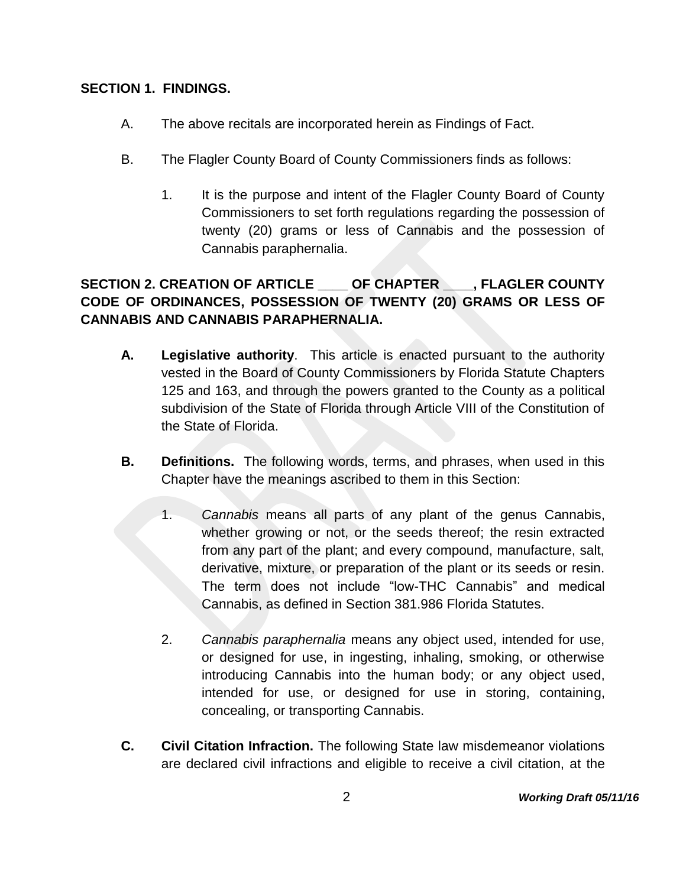### **SECTION 1. FINDINGS.**

- A. The above recitals are incorporated herein as Findings of Fact.
- B. The Flagler County Board of County Commissioners finds as follows:
	- 1. It is the purpose and intent of the Flagler County Board of County Commissioners to set forth regulations regarding the possession of twenty (20) grams or less of Cannabis and the possession of Cannabis paraphernalia.

# **SECTION 2. CREATION OF ARTICLE \_\_\_\_ OF CHAPTER \_\_\_\_, FLAGLER COUNTY CODE OF ORDINANCES, POSSESSION OF TWENTY (20) GRAMS OR LESS OF CANNABIS AND CANNABIS PARAPHERNALIA.**

- **A. Legislative authority**. This article is enacted pursuant to the authority vested in the Board of County Commissioners by Florida Statute Chapters 125 and 163, and through the powers granted to the County as a political subdivision of the State of Florida through Article VIII of the Constitution of the State of Florida.
- **B. Definitions.** The following words, terms, and phrases, when used in this Chapter have the meanings ascribed to them in this Section:
	- 1. *Cannabis* means all parts of any plant of the genus Cannabis, whether growing or not, or the seeds thereof; the resin extracted from any part of the plant; and every compound, manufacture, salt, derivative, mixture, or preparation of the plant or its seeds or resin. The term does not include "low-THC Cannabis" and medical Cannabis, as defined in Section 381.986 Florida Statutes.
	- 2. *Cannabis paraphernalia* means any object used, intended for use, or designed for use, in ingesting, inhaling, smoking, or otherwise introducing Cannabis into the human body; or any object used, intended for use, or designed for use in storing, containing, concealing, or transporting Cannabis.
- **C. Civil Citation Infraction.** The following State law misdemeanor violations are declared civil infractions and eligible to receive a civil citation, at the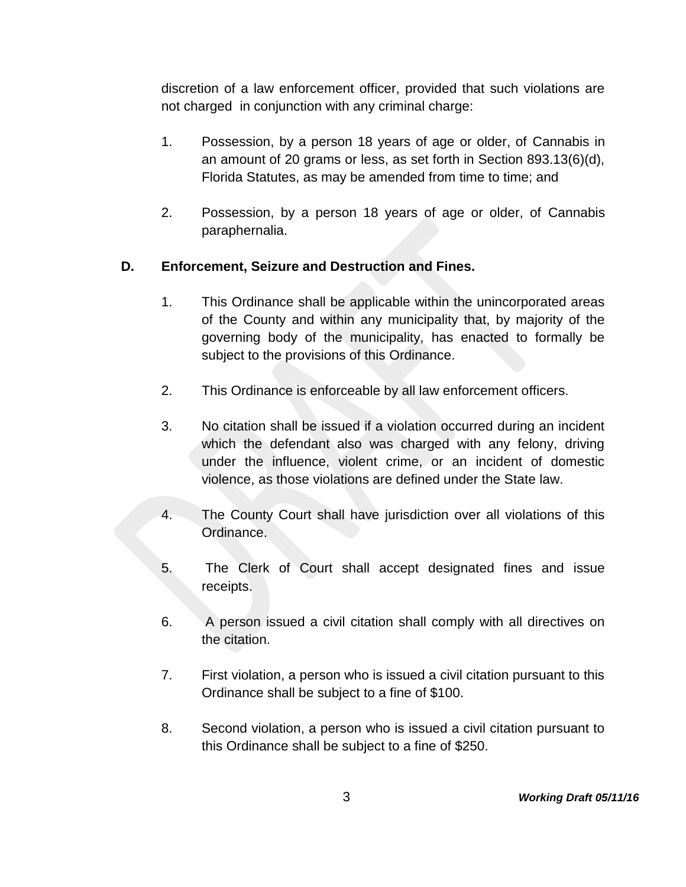discretion of a law enforcement officer, provided that such violations are not charged in conjunction with any criminal charge:

- 1. Possession, by a person 18 years of age or older, of Cannabis in an amount of 20 grams or less, as set forth in Section 893.13(6)(d), Florida Statutes, as may be amended from time to time; and
- 2. Possession, by a person 18 years of age or older, of Cannabis paraphernalia.

## **D. Enforcement, Seizure and Destruction and Fines.**

- 1. This Ordinance shall be applicable within the unincorporated areas of the County and within any municipality that, by majority of the governing body of the municipality, has enacted to formally be subject to the provisions of this Ordinance.
- 2. This Ordinance is enforceable by all law enforcement officers.
- 3. No citation shall be issued if a violation occurred during an incident which the defendant also was charged with any felony, driving under the influence, violent crime, or an incident of domestic violence, as those violations are defined under the State law.
- 4. The County Court shall have jurisdiction over all violations of this Ordinance.
- 5. The Clerk of Court shall accept designated fines and issue receipts.
- 6. A person issued a civil citation shall comply with all directives on the citation.
- 7. First violation, a person who is issued a civil citation pursuant to this Ordinance shall be subject to a fine of \$100.
- 8. Second violation, a person who is issued a civil citation pursuant to this Ordinance shall be subject to a fine of \$250.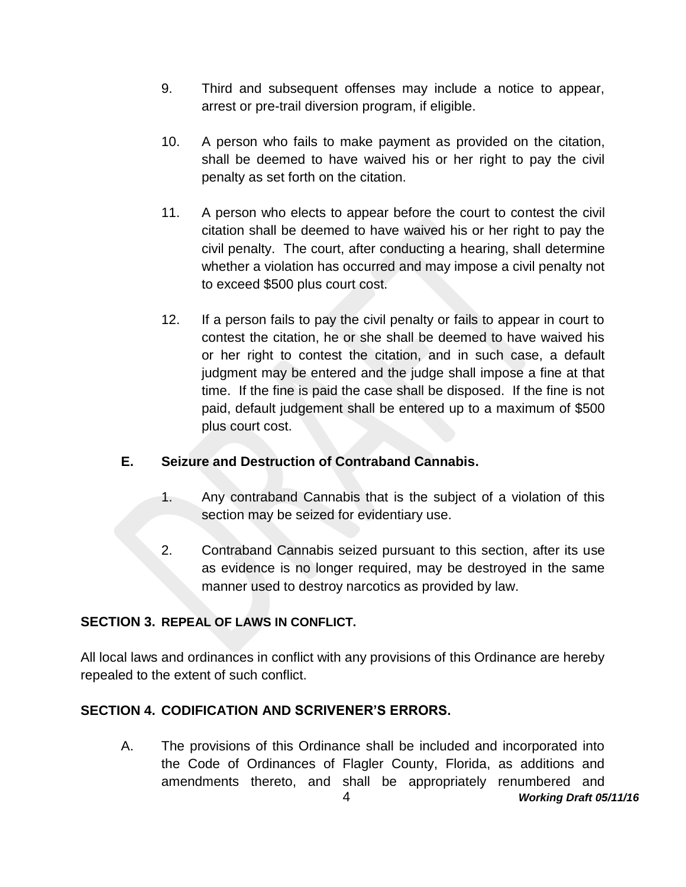- 9. Third and subsequent offenses may include a notice to appear, arrest or pre-trail diversion program, if eligible.
- 10. A person who fails to make payment as provided on the citation, shall be deemed to have waived his or her right to pay the civil penalty as set forth on the citation.
- 11. A person who elects to appear before the court to contest the civil citation shall be deemed to have waived his or her right to pay the civil penalty. The court, after conducting a hearing, shall determine whether a violation has occurred and may impose a civil penalty not to exceed \$500 plus court cost.
- 12. If a person fails to pay the civil penalty or fails to appear in court to contest the citation, he or she shall be deemed to have waived his or her right to contest the citation, and in such case, a default judgment may be entered and the judge shall impose a fine at that time. If the fine is paid the case shall be disposed. If the fine is not paid, default judgement shall be entered up to a maximum of \$500 plus court cost.

## **E. Seizure and Destruction of Contraband Cannabis.**

- 1. Any contraband Cannabis that is the subject of a violation of this section may be seized for evidentiary use.
- 2. Contraband Cannabis seized pursuant to this section, after its use as evidence is no longer required, may be destroyed in the same manner used to destroy narcotics as provided by law.

## **SECTION 3. REPEAL OF LAWS IN CONFLICT.**

All local laws and ordinances in conflict with any provisions of this Ordinance are hereby repealed to the extent of such conflict.

## **SECTION 4. CODIFICATION AND SCRIVENER'S ERRORS.**

4 *Working Draft 05/11/16* A. The provisions of this Ordinance shall be included and incorporated into the Code of Ordinances of Flagler County, Florida, as additions and amendments thereto, and shall be appropriately renumbered and